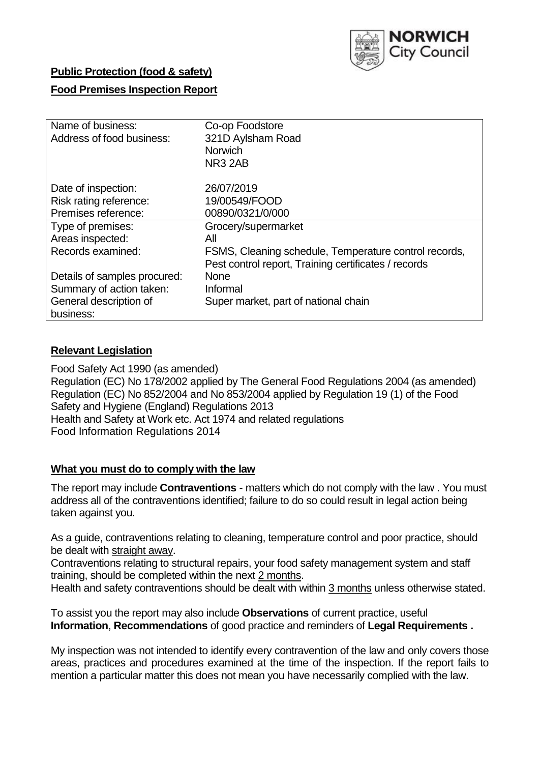

# **Public Protection (food & safety)**

# **Food Premises Inspection Report**

| Name of business:            | Co-op Foodstore                                       |  |  |  |  |  |
|------------------------------|-------------------------------------------------------|--|--|--|--|--|
| Address of food business:    | 321D Aylsham Road                                     |  |  |  |  |  |
|                              | <b>Norwich</b>                                        |  |  |  |  |  |
|                              | NR <sub>3</sub> 2AB                                   |  |  |  |  |  |
| Date of inspection:          | 26/07/2019                                            |  |  |  |  |  |
| Risk rating reference:       | 19/00549/FOOD                                         |  |  |  |  |  |
| Premises reference:          | 00890/0321/0/000                                      |  |  |  |  |  |
| Type of premises:            | Grocery/supermarket                                   |  |  |  |  |  |
| Areas inspected:             | All                                                   |  |  |  |  |  |
| Records examined:            | FSMS, Cleaning schedule, Temperature control records, |  |  |  |  |  |
|                              | Pest control report, Training certificates / records  |  |  |  |  |  |
| Details of samples procured: | <b>None</b>                                           |  |  |  |  |  |
| Summary of action taken:     | Informal                                              |  |  |  |  |  |
| General description of       | Super market, part of national chain                  |  |  |  |  |  |
| business:                    |                                                       |  |  |  |  |  |

#### **Relevant Legislation**

Food Safety Act 1990 (as amended) Regulation (EC) No 178/2002 applied by The General Food Regulations 2004 (as amended) Regulation (EC) No 852/2004 and No 853/2004 applied by Regulation 19 (1) of the Food Safety and Hygiene (England) Regulations 2013 Health and Safety at Work etc. Act 1974 and related regulations Food Information Regulations 2014

#### **What you must do to comply with the law**

The report may include **Contraventions** - matters which do not comply with the law . You must address all of the contraventions identified; failure to do so could result in legal action being taken against you.

As a guide, contraventions relating to cleaning, temperature control and poor practice, should be dealt with straight away.

Contraventions relating to structural repairs, your food safety management system and staff training, should be completed within the next 2 months.

Health and safety contraventions should be dealt with within 3 months unless otherwise stated.

To assist you the report may also include **Observations** of current practice, useful **Information**, **Recommendations** of good practice and reminders of **Legal Requirements .**

My inspection was not intended to identify every contravention of the law and only covers those areas, practices and procedures examined at the time of the inspection. If the report fails to mention a particular matter this does not mean you have necessarily complied with the law.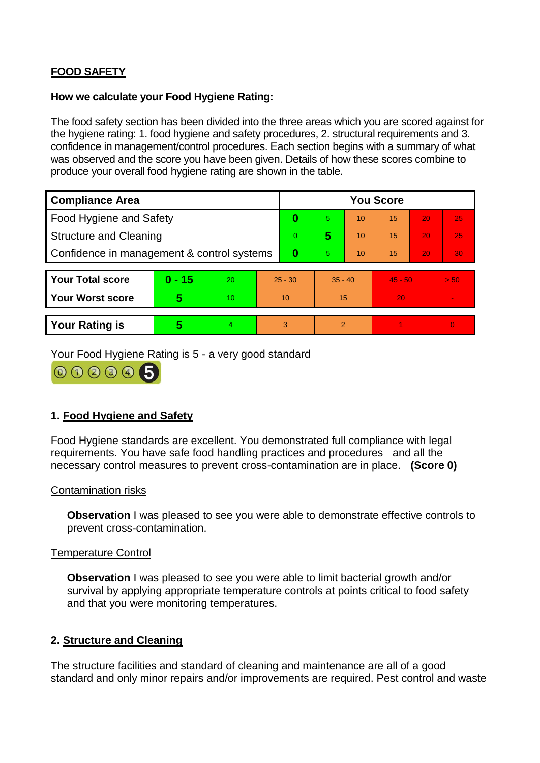# **FOOD SAFETY**

### **How we calculate your Food Hygiene Rating:**

The food safety section has been divided into the three areas which you are scored against for the hygiene rating: 1. food hygiene and safety procedures, 2. structural requirements and 3. confidence in management/control procedures. Each section begins with a summary of what was observed and the score you have been given. Details of how these scores combine to produce your overall food hygiene rating are shown in the table.

| <b>Compliance Area</b>                     |          |                  |                | <b>You Score</b> |                |    |           |    |        |  |  |
|--------------------------------------------|----------|------------------|----------------|------------------|----------------|----|-----------|----|--------|--|--|
| Food Hygiene and Safety                    |          |                  | 0              | 5                | 10             | 15 | 20        | 25 |        |  |  |
| <b>Structure and Cleaning</b>              |          |                  | $\overline{0}$ | 5                | 10             | 15 | 20        | 25 |        |  |  |
| Confidence in management & control systems |          |                  | 0              | 5                | 10             | 15 | 20        | 30 |        |  |  |
|                                            |          |                  |                |                  |                |    |           |    |        |  |  |
| <b>Your Total score</b>                    | $0 - 15$ | 20               | $25 - 30$      |                  | $35 - 40$      |    | $45 - 50$ |    | > 50   |  |  |
| <b>Your Worst score</b>                    | 5        | 10 <sup>10</sup> | 10             |                  | 15             |    | 20        |    | $\sim$ |  |  |
|                                            |          |                  |                |                  |                |    |           |    |        |  |  |
| <b>Your Rating is</b>                      | 5        | 4                | 3              |                  | $\overline{2}$ |    |           |    | 0      |  |  |

Your Food Hygiene Rating is 5 - a very good standard

000005

# **1. Food Hygiene and Safety**

Food Hygiene standards are excellent. You demonstrated full compliance with legal requirements. You have safe food handling practices and procedures and all the necessary control measures to prevent cross-contamination are in place. **(Score 0)**

# Contamination risks

**Observation** I was pleased to see you were able to demonstrate effective controls to prevent cross-contamination.

#### Temperature Control

**Observation** I was pleased to see you were able to limit bacterial growth and/or survival by applying appropriate temperature controls at points critical to food safety and that you were monitoring temperatures.

# **2. Structure and Cleaning**

The structure facilities and standard of cleaning and maintenance are all of a good standard and only minor repairs and/or improvements are required. Pest control and waste